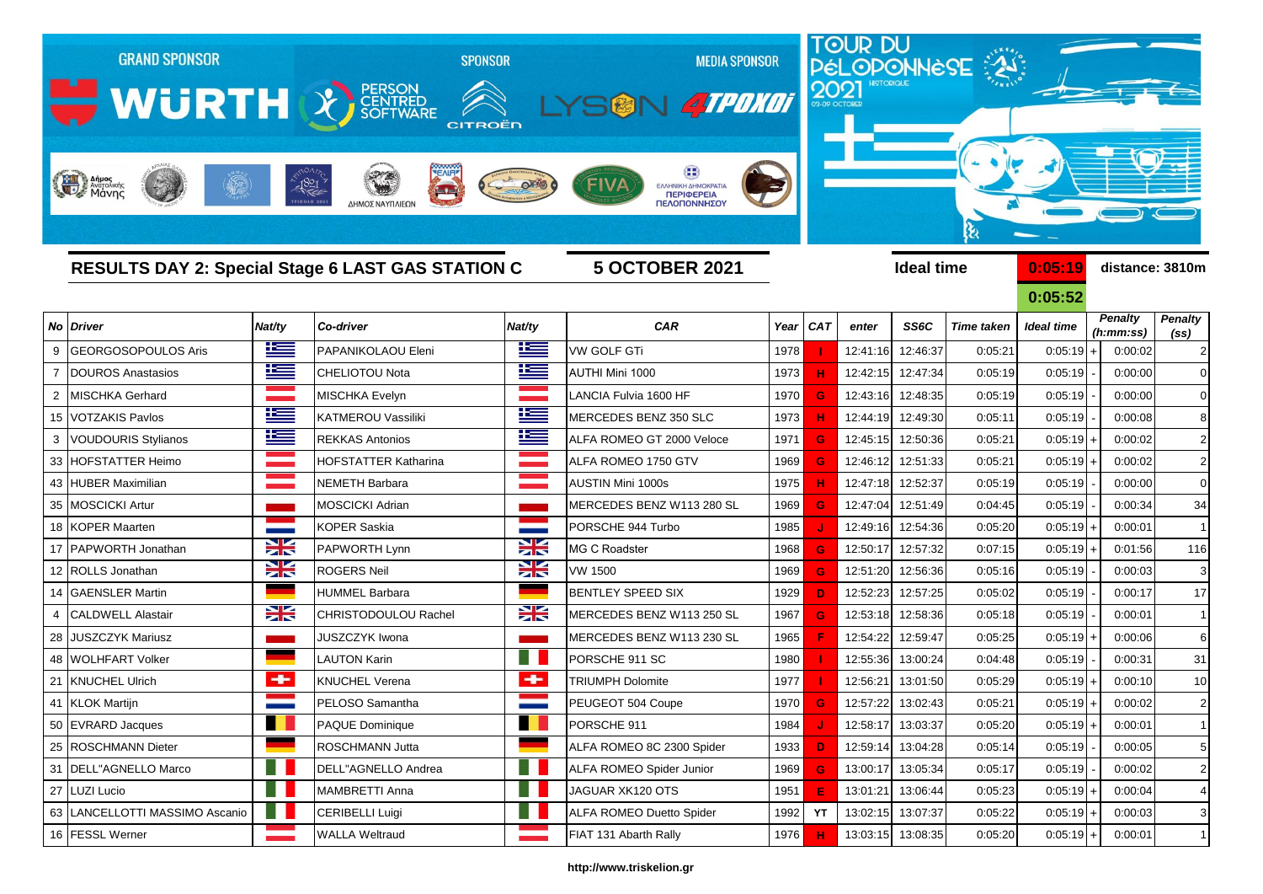|    | <b>GRAND SPONSOR</b><br><b>WURTH &amp; REARRISED</b><br>Anjues<br>Margolikins |             | $-1821$<br>ΔΗΜΟΣ ΝΑΥΠΛΙΕΩ | <b>SPONSOR</b><br>CITROËN | <b>MEDIA SPONSOR</b><br>SON 4TPDK01<br>ΕΛΛΗΝΙΚΗ ΔΗΜΟΚΡΑΤΙ.<br>ΠΕΡΙΦΕΡΕΙΑ<br>ΠΕΛΟΠΟΝΝΗΣΟΥ |      | 2021       | <u>TOUR DU</u><br><b>HISTORIGUE</b> |                   | PéLOPONNèSE 2     |             |                 |                        |
|----|-------------------------------------------------------------------------------|-------------|---------------------------|---------------------------|------------------------------------------------------------------------------------------|------|------------|-------------------------------------|-------------------|-------------------|-------------|-----------------|------------------------|
|    | <b>RESULTS DAY 2: Special Stage 6 LAST GAS STATION C</b>                      |             |                           |                           | <b>5 OCTOBER 2021</b>                                                                    |      |            |                                     | <b>Ideal time</b> |                   | 0:05:19     | distance: 3810m |                        |
|    |                                                                               |             |                           |                           |                                                                                          |      |            |                                     |                   |                   | 0:05:52     | <b>Penalty</b>  |                        |
|    | No Driver                                                                     | Nat/ty      | Co-driver                 | Nat/ty                    | CAR                                                                                      | Year | <b>CAT</b> | enter                               | SS6C              | <b>Time taken</b> | Ideal time  | (h:mm:ss)       | <b>Penalty</b><br>(ss) |
| 9  | <b>GEORGOSOPOULOS Aris</b>                                                    | <u>ik –</u> | PAPANIKOLAOU Eleni        | <u>ik a</u>               | <b>VW GOLF GTi</b>                                                                       | 1978 |            | 12:41:16                            | 12:46:37          | 0:05:21           | $0:05:19$ + | 0:00:02         | $\overline{2}$         |
|    | <b>DOUROS Anastasios</b>                                                      | 上           | <b>CHELIOTOU Nota</b>     | ١Ξ                        | AUTHI Mini 1000                                                                          | 1973 |            | 12:42:15                            | 12:47:34          | 0:05:19           | 0:05:19     | 0:00:00         | $\mathbf 0$            |
| 2  | <b>MISCHKA Gerhard</b>                                                        |             | MISCHKA Evelyn            |                           | LANCIA Fulvia 1600 HF                                                                    | 1970 | G          | 12:43:16                            | 12:48:35          | 0:05:19           | 0:05:19     | 0:00:00         | $\mathbf 0$            |
| 15 | <b>VOTZAKIS Pavlos</b>                                                        | İ           | <b>KATMEROU Vassiliki</b> | N                         | MERCEDES BENZ 350 SLC                                                                    | 1973 |            | 12:44:19                            | 12:49:30          | 0:05:11           | 0:05:19     | 0:00:08         | 8                      |
| 3  | <b>VOUDOURIS Stylianos</b>                                                    | Ħ           | <b>REKKAS Antonios</b>    | Ħ                         | ALFA ROMEO GT 2000 Veloce                                                                | 1971 | G          | 12:45:15                            | 12:50:36          | 0:05:21           | $0:05:19$ + | 0:00:02         | $\overline{2}$         |
| 33 | <b>HOFSTATTER Heimo</b>                                                       |             | HOFSTATTER Katharina      |                           | ALFA ROMEO 1750 GTV                                                                      | 1969 | G          | 12:46:12                            | 12:51:33          | 0:05:21           | $0:05:19$ + | 0:00:02         | $\overline{2}$         |
| 43 | <b>HUBER Maximilian</b>                                                       |             | <b>NEMETH Barbara</b>     |                           | <b>AUSTIN Mini 1000s</b>                                                                 | 1975 | н          | 12:47:18                            | 12:52:37          | 0:05:19           | 0:05:19     | 0:00:00         | $\mathbf 0$            |
| 35 | <b>MOSCICKI Artur</b>                                                         |             | MOSCICKI Adrian           |                           | MERCEDES BENZ W113 280 SL                                                                | 1969 | G          | 12:47:04                            | 12:51:49          | 0:04:45           | 0:05:19     | 0:00:34         | 34                     |
| 18 | <b>KOPER Maarten</b>                                                          |             | <b>KOPER Saskia</b>       |                           | PORSCHE 944 Turbo                                                                        | 1985 |            | 12:49:16                            | 12:54:36          | 0:05:20           | $0:05:19$ + | 0:00:01         | $\mathbf{1}$           |
| 17 | PAPWORTH Jonathan                                                             | X           | PAPWORTH Lynn             | ≍                         | <b>MG C Roadster</b>                                                                     | 1968 | G          | 12:50:17                            | 12:57:32          | 0:07:15           | $0:05:19$ + | 0:01:56         | 116                    |
| 12 | ROLLS Jonathan                                                                | $\geq$      | <b>ROGERS Neil</b>        | X                         | <b>VW 1500</b>                                                                           | 1969 | G          | 12:51:20                            | 12:56:36          | 0:05:16           | 0:05:19     | 0:00:03         | 3                      |
| 14 | <b>GAENSLER Martin</b>                                                        |             | <b>HUMMEL Barbara</b>     |                           | <b>BENTLEY SPEED SIX</b>                                                                 | 1929 | D          | 12:52:23                            | 12:57:25          | 0:05:02           | 0:05:19     | 0:00:17         | 17                     |
|    | <b>CALDWELL Alastair</b>                                                      | $\geq$      | CHRISTODOULOU Rachel      | X                         | MERCEDES BENZ W113 250 SL                                                                | 1967 | G          | 12:53:18                            | 12:58:36          | 0:05:18           | 0:05:19     | 0:00:01         | $\mathbf{1}$           |
| 28 | <b>JUSZCZYK Mariusz</b>                                                       |             | JUSZCZYK Iwona            |                           | MERCEDES BENZ W113 230 SL                                                                | 1965 |            | 12:54:22                            | 12:59:47          | 0:05:25           | $0:05:19$ + | 0:00:06         | 6                      |
| 48 | <b>WOLHFART Volker</b>                                                        |             | LAUTON Karin              |                           | PORSCHE 911 SC                                                                           | 1980 |            | 12:55:36                            | 13:00:24          | 0:04:48           | 0:05:19     | 0:00:31         | 31                     |
| 21 | <b>KNUCHEL Ulrich</b>                                                         | ÷           | <b>KNUCHEL Verena</b>     | $\bullet$                 | <b>TRIUMPH Dolomite</b>                                                                  | 1977 |            | 12:56:21                            | 13:01:50          | 0:05:29           | $0:05:19$ + | 0:00:10         | 10                     |
|    | 41 KLOK Martijn                                                               |             | PELOSO Samantha           |                           | PEUGEOT 504 Coupe                                                                        | 1970 |            |                                     | 12:57:22 13:02:43 | 0:05:21           | $0:05:19$ + | 0:00:02         |                        |
|    | 50 EVRARD Jacques                                                             | . .         | <b>PAQUE Dominique</b>    | n N                       | PORSCHE 911                                                                              | 1984 |            | 12:58:17                            | 13:03:37          | 0:05:20           | $0:05:19$ + | 0:00:01         | $\mathbf 1$            |
|    | 25 ROSCHMANN Dieter                                                           |             | ROSCHMANN Jutta           |                           | ALFA ROMEO 8C 2300 Spider                                                                | 1933 | D          | 12:59:14                            | 13:04:28          | 0:05:14           | 0:05:19     | 0:00:05         | 5                      |
|    | 31   DELL"AGNELLO Marco                                                       |             | DELL"AGNELLO Andrea       |                           | ALFA ROMEO Spider Junior                                                                 | 1969 | G          | 13:00:17                            | 13:05:34          | 0:05:17           | 0:05:19     | 0:00:02         | $\overline{2}$         |
|    | 27 LUZI Lucio                                                                 | . .         | MAMBRETTI Anna            |                           | JAGUAR XK120 OTS                                                                         | 1951 | E.         | 13:01:21                            | 13:06:44          | 0:05:23           | $0:05:19$ + | 0:00:04         | $\overline{4}$         |
|    | 63 LANCELLOTTI MASSIMO Ascanio                                                |             | <b>CERIBELLI Luigi</b>    |                           | ALFA ROMEO Duetto Spider                                                                 | 1992 | YT         |                                     | 13:02:15 13:07:37 | 0:05:22           | $0:05:19$ + | 0:00:03         | 3                      |

FESSL Werner WALLA Weltraud FIAT 131 Abarth Rally 1976 **H** 13:03:15 13:08:35 0:05:20 0:05:19 + 0:00:01 1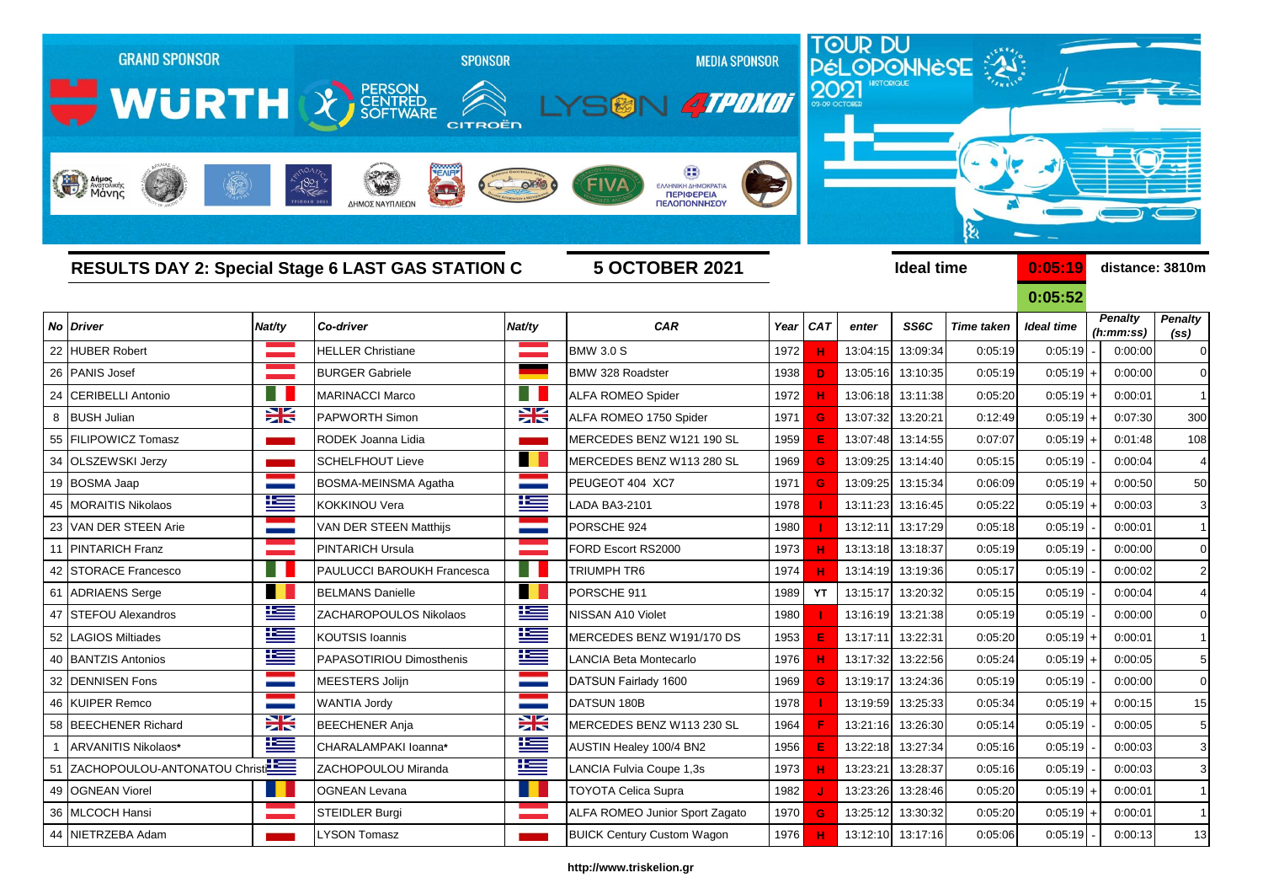|    | <b>GRAND SPONSOR</b><br>WURTH CONTRESSION<br>Anjues<br>Maynoviking |        | <b>SPONSOR</b><br>CITROËN<br>$-1821$<br>$\frac{1}{2}$<br>ΔΗΜΟΣ ΝΑΥΠΛΙΕΩΜ |                          | <b>MEDIA SPONSOR</b><br>SON ATPOKOT<br>FIVA<br>ΕΛΛΗΝΙΚΗ ΔΗΜΟΚΡΑΤΙΑ<br>ΠΕΡΙΦΕΡΕΙΑ<br>ΠΕΛΟΠΟΝΝΗΣΟΥ |      |            |                   |                   | TOUR DU<br>PÉLOPONNESE<br>ક્ષ |                   |                             |                                     |
|----|--------------------------------------------------------------------|--------|--------------------------------------------------------------------------|--------------------------|--------------------------------------------------------------------------------------------------|------|------------|-------------------|-------------------|-------------------------------|-------------------|-----------------------------|-------------------------------------|
|    |                                                                    |        | <b>RESULTS DAY 2: Special Stage 6 LAST GAS STATION C</b>                 |                          | <b>5 OCTOBER 2021</b>                                                                            |      |            |                   | <b>Ideal time</b> |                               | 0:05:19           | distance: 3810m             |                                     |
|    |                                                                    |        |                                                                          |                          |                                                                                                  |      |            |                   |                   |                               | 0:05:52           |                             |                                     |
| No | <b>Driver</b>                                                      | Nat/ty | Co-driver                                                                | Nat/ty                   | <b>CAR</b>                                                                                       | Year | <b>CAT</b> | enter             | SS6C              | <b>Time taken</b>             | <b>Ideal time</b> | <b>Penalty</b><br>(h:mm:ss) | <b>Penalty</b><br>(s <sub>s</sub> ) |
| 22 | <b>HUBER Robert</b>                                                |        | <b>HELLER Christiane</b>                                                 |                          | <b>BMW 3.0 S</b>                                                                                 | 1972 |            | 13:04:15          | 13:09:34          | 0:05:19                       | 0:05:19           | 0:00:00                     | $\Omega$                            |
|    | 26 PANIS Josef                                                     |        | <b>BURGER Gabriele</b>                                                   |                          | <b>BMW 328 Roadster</b>                                                                          | 1938 | D          | 13:05:16          | 13:10:35          | 0:05:19                       | $0:05:19 +$       | 0:00:00                     | 0                                   |
| 24 | <b>CERIBELLI Antonio</b>                                           |        | <b>MARINACCI Marco</b>                                                   |                          | <b>ALFA ROMEO Spider</b>                                                                         | 1972 |            | 13:06:18          | 13:11:38          | 0:05:20                       | $0:05:19$ +       | 0:00:01                     | $\mathbf 1$                         |
|    | 8 BUSH Julian                                                      | X      | <b>PAPWORTH Simon</b>                                                    | ₩                        | ALFA ROMEO 1750 Spider                                                                           | 1971 | G          | 13:07:32          | 13:20:21          | 0:12:49                       | $0:05:19$ +       | 0:07:30                     | 300                                 |
| 55 | FILIPOWICZ Tomasz                                                  |        | RODEK Joanna Lidia                                                       |                          | MERCEDES BENZ W121 190 SL                                                                        | 1959 |            | 13:07:48          | 13:14:55          | 0:07:07                       | 0:05:19           | 0:01:48                     | 108                                 |
|    | 34 OLSZEWSKI Jerzy                                                 |        | <b>SCHELFHOUT Lieve</b>                                                  | <b>Contract Contract</b> | MERCEDES BENZ W113 280 SL                                                                        | 1969 | G          | 13:09:25          | 13:14:40          | 0:05:15                       | 0:05:19           | 0:00:04                     |                                     |
|    | 19 BOSMA Jaap                                                      |        | <b>BOSMA-MEINSMA Agatha</b>                                              |                          | PEUGEOT 404 XC7                                                                                  | 1971 |            | 13:09:25          | 13:15:34          | 0:06:09                       | 0:05:19           | 0:00:50                     | 50                                  |
| 45 | <b>MORAITIS Nikolaos</b>                                           | ١Œ     | <b>KOKKINOU Vera</b>                                                     | l                        | LADA BA3-2101                                                                                    | 1978 |            | 13:11:23          | 13:16:45          | 0:05:22                       | 0:05:19           | 0:00:03                     | 3                                   |
| 23 | VAN DER STEEN Arie                                                 |        | VAN DER STEEN Matthijs                                                   |                          | PORSCHE 924                                                                                      | 1980 |            | 13:12:11          | 13:17:29          | 0:05:18                       | 0:05:19           | 0:00:01                     | $\mathbf{1}$                        |
|    | 11 PINTARICH Franz                                                 |        | <b>PINTARICH Ursula</b>                                                  |                          | FORD Escort RS2000                                                                               | 1973 |            | 13:13:18          | 13:18:37          | 0:05:19                       | 0:05:19           | 0:00:00                     | $\Omega$                            |
|    | 42 STORACE Francesco                                               | Ħ      | <b>PAULUCCI BAROUKH Francesca</b>                                        | - 11                     | TRIUMPH TR6                                                                                      | 1974 |            | 13:14:19          | 13:19:36          | 0:05:17                       | 0:05:19           | 0:00:02                     | $\overline{c}$                      |
|    | 61 ADRIAENS Serge                                                  |        | <b>BELMANS Danielle</b>                                                  | M.                       | PORSCHE 911                                                                                      | 1989 | YT         | 13:15:17          | 13:20:32          | 0:05:15                       | 0:05:19           | 0:00:04                     | $\overline{4}$                      |
| 47 | <b>STEFOU Alexandros</b>                                           | l      | ZACHAROPOULOS Nikolaos                                                   | ١m                       | NISSAN A10 Violet                                                                                | 1980 |            | 13:16:19          | 13:21:38          | 0:05:19                       | 0:05:19           | 0:00:00                     | $\mathbf 0$                         |
| 52 | <b>AGIOS Miltiades</b>                                             | Ł      | <b>KOUTSIS Ioannis</b>                                                   | 华                        | MERCEDES BENZ W191/170 DS                                                                        | 1953 |            | 13:17:11          | 13:22:31          | 0:05:20                       | 0:05:19           | 0:00:01                     |                                     |
|    | 40 BANTZIS Antonios                                                | 些      | PAPASOTIRIOU Dimosthenis                                                 | 些                        | LANCIA Beta Montecarlo                                                                           | 1976 |            | 13:17:32          | 13:22:56          | 0:05:24                       | 0:05:19           | 0:00:05                     | 5                                   |
| 32 | <b>DENNISEN Fons</b>                                               |        | <b>MEESTERS Jolijn</b>                                                   |                          | DATSUN Fairlady 1600                                                                             | 1969 |            | 13:19:17          | 13:24:36          | 0:05:19                       | 0:05:19           | 0:00:00                     | $\mathbf 0$                         |
|    | 46 KUIPER Remco                                                    |        | WANTIA Jordy                                                             |                          | DATSUN 180B                                                                                      | 1978 |            | 13:19:59          | 13:25:33          | 0:05:34                       | $0:05:19 +$       | 0:00:15                     | 15                                  |
|    | 58 BEECHENER Richard                                               | X      | BEECHENER Anja                                                           | X                        | MERCEDES BENZ W113 230 SL                                                                        | 1964 |            | 13:21:16 13:26:30 |                   | 0:05:14                       | 0:05:19           | 0:00:05                     | 5                                   |
|    | ARVANITIS Nikolaos*                                                | ١Œ     | CHARALAMPAKI Ioanna*                                                     | N                        | AUSTIN Healey 100/4 BN2                                                                          | 1956 |            | 13:22:18 13:27:34 |                   | 0:05:16                       | 0:05:19           | 0:00:03                     | 3                                   |
|    | 51 ZACHOPOULOU-ANTONATOU Christ                                    |        | ZACHOPOULOU Miranda                                                      | ١Œ                       | LANCIA Fulvia Coupe 1,3s                                                                         | 1973 |            | 13:23:21          | 13:28:37          | 0:05:16                       | 0:05:19           | 0:00:03                     | 3                                   |
|    | 49 OGNEAN Viorel                                                   | U L    | <b>OGNEAN Levana</b>                                                     | . .                      | <b>TOYOTA Celica Supra</b>                                                                       | 1982 |            |                   | 13:23:26 13:28:46 | 0:05:20                       | $0:05:19$ +       | 0:00:01                     | 1                                   |
|    | 36 MLCOCH Hansi                                                    |        | <b>STEIDLER Burgi</b>                                                    |                          | ALFA ROMEO Junior Sport Zagato                                                                   | 1970 | G          | 13:25:12 13:30:32 |                   | 0:05:20                       | $0:05:19$ +       | 0:00:01                     | $\vert$                             |
|    | 44 NIETRZEBA Adam                                                  |        | <b>LYSON Tomasz</b>                                                      |                          | <b>BUICK Century Custom Wagon</b>                                                                | 1976 |            | 13:12:10 13:17:16 |                   | 0:05:06                       | 0:05:19           | 0:00:13                     | 13                                  |

## **http://www.triskelion.gr**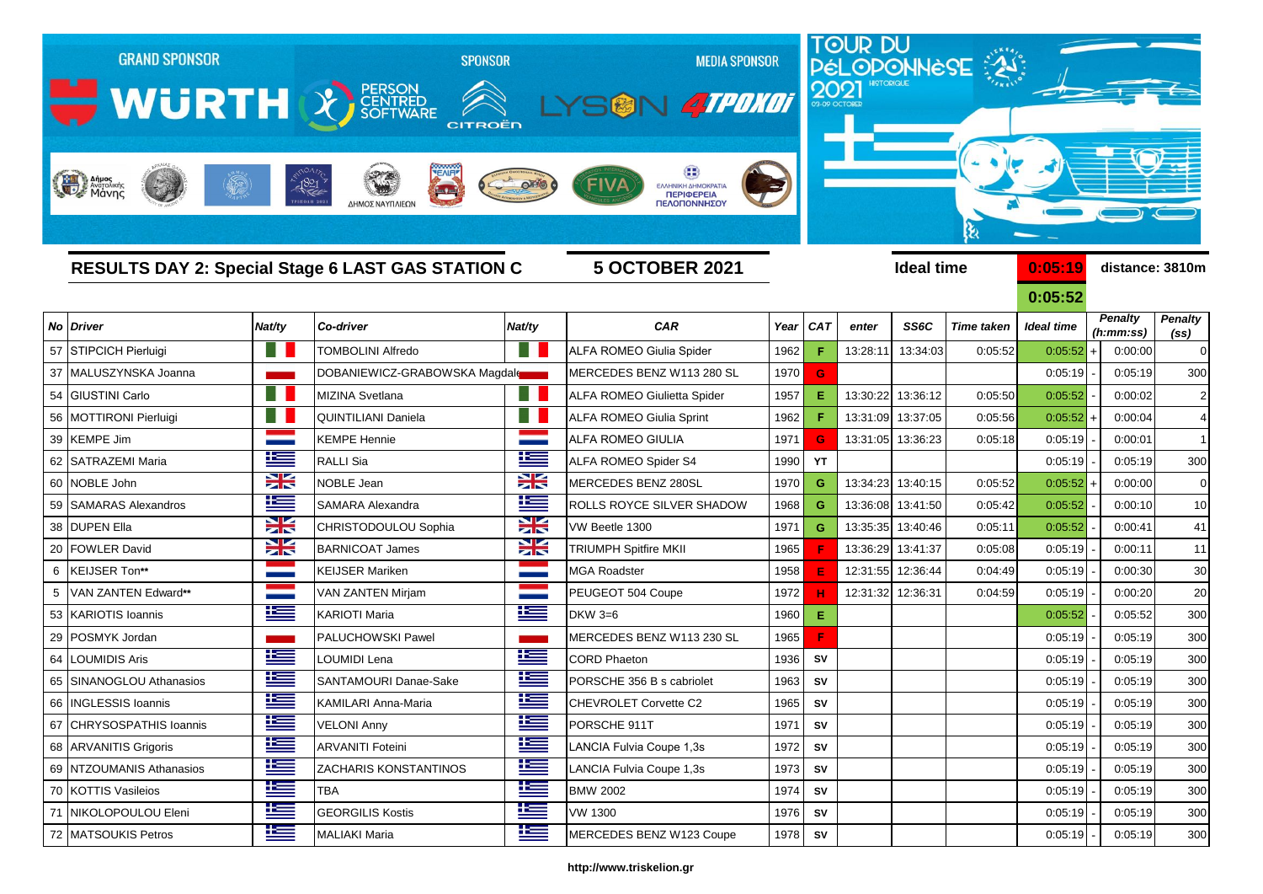|    | <b>GRAND SPONSOR</b><br>WURTH & FERSON |           | CITROËN                                                                                | <b>SPONSOR</b> | <b>MEDIA SPONSOR</b><br>SGN 4TPOKOT                                                     |      | 2021       | TOUR DU<br>PÉLOPONNÈSE |                   |                   |                   |                |                   |
|----|----------------------------------------|-----------|----------------------------------------------------------------------------------------|----------------|-----------------------------------------------------------------------------------------|------|------------|------------------------|-------------------|-------------------|-------------------|----------------|-------------------|
|    | Anjust Average                         |           | $-1821$<br>ΔΗΜΟΣ ΝΑΥΠΛΙΕΩΙ<br><b>RESULTS DAY 2: Special Stage 6 LAST GAS STATION C</b> |                | <b>EAAHNIKH AHMOKPATI</b><br>ΠΕΡΙΦΕΡΕΙΑ<br><b>ΠΕΛΟΠΟΝΝΗΣΟΥ</b><br><b>5 OCTOBER 2021</b> |      |            |                        | <b>Ideal time</b> |                   | 0:05:19           |                | distance: 3810m   |
|    |                                        |           |                                                                                        |                |                                                                                         |      |            |                        |                   |                   | 0:05:52           | <b>Penalty</b> | <b>Penalty</b>    |
|    | <b>No Driver</b>                       | Nat/ty    | Co-driver                                                                              | Nat/ty         | <b>CAR</b>                                                                              | Year | <b>CAT</b> | enter                  | SS6C              | <b>Time taken</b> | <b>Ideal time</b> | (h:mm:ss)      | (s <sub>s</sub> ) |
|    | 57 STIPCICH Pierluigi                  | ٠         | <b>TOMBOLINI Alfredo</b>                                                               | ST 1           | ALFA ROMEO Giulia Spider                                                                | 1962 | F          | 13:28:11               | 13:34:03          | 0:05:52           | 0:05:52           | 0:00:00        | $\mathbf 0$       |
|    | 37   MALUSZYNSKA Joanna                |           | DOBANIEWICZ-GRABOWSKA Magdale                                                          |                | MERCEDES BENZ W113 280 SL                                                               | 1970 | G          |                        |                   |                   | 0:05:19           | 0:05:19        | 300               |
| 54 | GIUSTINI Carlo                         | H         | MIZINA Svetlana                                                                        | n l            | ALFA ROMEO Giulietta Spider                                                             | 1957 | Ε          | 13:30:22               | 13:36:12          | 0:05:50           | 0:05:52           | 0:00:02        | $\overline{2}$    |
| 56 | MOTTIRONI Pierluigi                    | - 11      | <b>QUINTILIANI Daniela</b>                                                             |                | <b>ALFA ROMEO Giulia Sprint</b>                                                         | 1962 | F          | 13:31:09               | 13:37:05          | 0:05:56           | 0:05:52           | 0:00:04        | $\overline{4}$    |
| 39 | <b>KEMPE Jim</b>                       |           | <b>KEMPE Hennie</b>                                                                    |                | <b>ALFA ROMEO GIULIA</b>                                                                | 1971 | G          | 13:31:05               | 13:36:23          | 0:05:18           | 0:05:19           | 0:00:01        | 1                 |
| 62 | <b>SATRAZEMI Maria</b>                 | <u>ts</u> | <b>RALLI Sia</b>                                                                       | İ              | ALFA ROMEO Spider S4                                                                    | 1990 | YT         |                        |                   |                   | 0:05:19           | 0:05:19        | 300               |
| 60 | NOBLE John                             | X         | NOBLE Jean                                                                             | ∺              | MERCEDES BENZ 280SL                                                                     | 1970 | G          | 13:34:23               | 13:40:15          | 0:05:52           | 0:05:52           | 0:00:00        | $\mathbf 0$       |
| 59 | <b>SAMARAS Alexandros</b>              | Ħ         | SAMARA Alexandra                                                                       | Ľ              | <b>ROLLS ROYCE SILVER SHADOW</b>                                                        | 1968 | G          | 13:36:08               | 13:41:50          | 0:05:42           | 0:05:52           | 0:00:10        | 10                |
|    | 38 DUPEN Ella                          | XK        | CHRISTODOULOU Sophia                                                                   | $\frac{1}{2}$  | VW Beetle 1300                                                                          | 1971 | G          | 13:35:35               | 13:40:46          | 0:05:11           | 0:05:52           | 0:00:41        | 41                |
| 20 | <b>FOWLER David</b>                    | ≍         | <b>BARNICOAT James</b>                                                                 | ≍              | <b>TRIUMPH Spitfire MKII</b>                                                            | 1965 |            | 13:36:29               | 13:41:37          | 0:05:08           | 0:05:19           | 0:00:11        | 11                |
| 6  | KEIJSER Ton**                          |           | <b>KEIJSER Mariken</b>                                                                 |                | <b>MGA Roadster</b>                                                                     | 1958 | E          | 12:31:55               | 12:36:44          | 0:04:49           | 0:05:19           | 0:00:30        | 30                |
|    | VAN ZANTEN Edward**                    |           | VAN ZANTEN Mirjam                                                                      |                | PEUGEOT 504 Coupe                                                                       | 1972 | н          | 12:31:32               | 12:36:31          | 0:04:59           | 0:05:19           | 0:00:20        | 20                |
| 53 | <b>KARIOTIS Ioannis</b>                | 坚         | <b>KARIOTI Maria</b>                                                                   | l              | <b>DKW 3=6</b>                                                                          | 1960 | E.         |                        |                   |                   | 0:05:52           | 0:05:52        | 300               |
| 29 | POSMYK Jordan                          |           | PALUCHOWSKI Pawel                                                                      |                | IMERCEDES BENZ W113 230 SL                                                              | 1965 | F.         |                        |                   |                   | 0:05:19           | 0:05:19        | 300               |
| 64 | <b>_OUMIDIS Aris</b>                   | 些         | OUMIDI Lena                                                                            | Ħ              | <b>CORD Phaeton</b>                                                                     | 1936 | S٧         |                        |                   |                   | 0:05:19           | 0:05:19        | 300               |
| 65 | SINANOGLOU Athanasios                  | ١æ        | SANTAMOURI Danae-Sake                                                                  | Ħ              | PORSCHE 356 B s cabriolet                                                               | 1963 | SV         |                        |                   |                   | 0:05:19           | 0:05:19        | 300               |
|    | 66   INGLESSIS Ioannis                 | H         | KAMILARI Anna-Maria                                                                    | Ħ              | CHEVROLET Corvette C2                                                                   | 1965 | <b>SV</b>  |                        |                   |                   | 0:05:19           | 0:05:19        | 300               |
|    | 67 CHRYSOSPATHIS Ioannis               | Ħ         | <b>VELONI Anny</b>                                                                     | Ħ              | PORSCHE 911T                                                                            | 1971 | SV         |                        |                   |                   | 0:05:19           | 0:05:19        | 300               |
|    | 68 ARVANITIS Grigoris                  | ١Œ        | <b>ARVANITI Foteini</b>                                                                | ١Ξ             | LANCIA Fulvia Coupe 1,3s                                                                | 1972 | SV         |                        |                   |                   | 0:05:19           | 0:05:19        | 300               |
|    | 69 NTZOUMANIS Athanasios               | 隼         | <b>ZACHARIS KONSTANTINOS</b>                                                           | N              | LANCIA Fulvia Coupe 1,3s                                                                | 1973 | SV         |                        |                   |                   | 0:05:19           | 0:05:19        | 300               |
|    | 70 KOTTIS Vasileios                    | ١æ        | <b>TBA</b>                                                                             | 坚              | <b>BMW 2002</b>                                                                         | 1974 | <b>SV</b>  |                        |                   |                   | 0:05:19           | 0:05:19        | 300               |
|    | 71 NIKOLOPOULOU Eleni                  | 些         | <b>GEORGILIS Kostis</b>                                                                | N              | <b>VW 1300</b>                                                                          | 1976 | SV         |                        |                   |                   | 0:05:19           | 0:05:19        | 300               |
|    | 72 MATSOUKIS Petros                    | Ħ         | <b>MALIAKI Maria</b>                                                                   | Ħ              | MERCEDES BENZ W123 Coupe                                                                | 1978 | <b>SV</b>  |                        |                   |                   | 0:05:19           | 0:05:19        | 300               |

## **http://www.triskelion.gr**